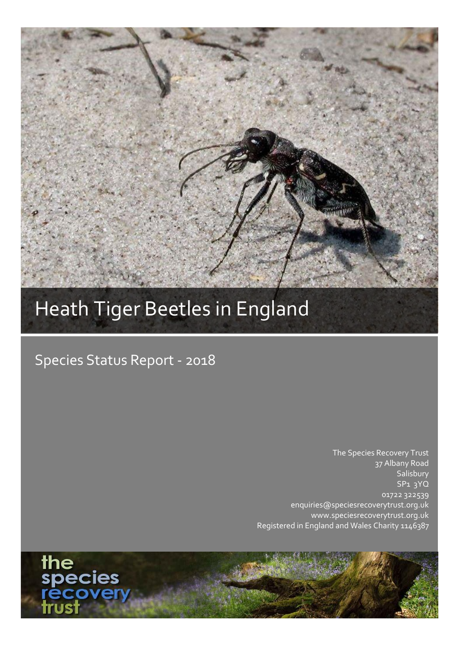# Heath Tiger Beetles in England

## Species Status Report - 2018

The Species Recovery Trust 37 Albany Road **Salisbury** SP1 3YQ 01722 322539 enquiries@speciesrecoverytrust.org.uk www.speciesrecoverytrust.org.uk Registered in England and Wales Charity 1146387

the<br>species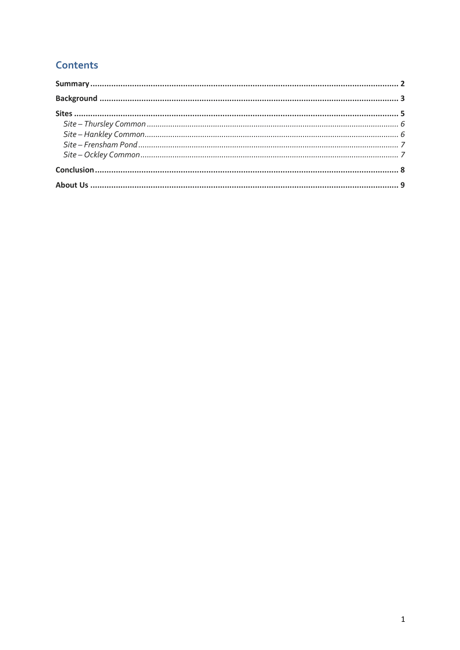### **Contents**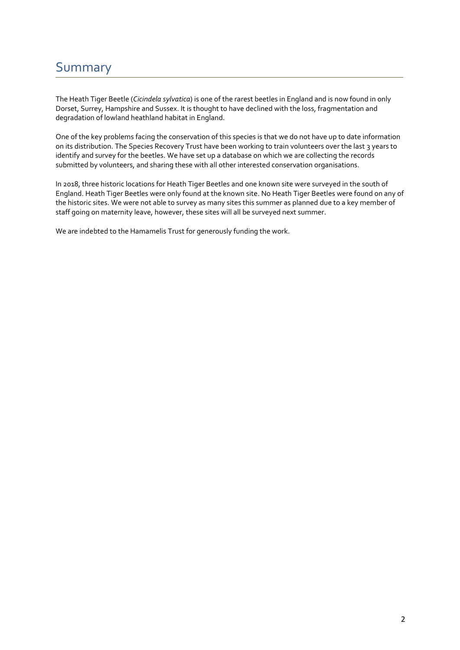### <span id="page-2-0"></span>Summary

The Heath Tiger Beetle (*Cicindela sylvatica*) is one of the rarest beetles in England and is now found in only Dorset, Surrey, Hampshire and Sussex. It is thought to have declined with the loss, fragmentation and degradation of lowland heathland habitat in England.

One of the key problems facing the conservation of this species is that we do not have up to date information on its distribution. The Species Recovery Trust have been working to train volunteers over the last 3 years to identify and survey for the beetles. We have set up a database on which we are collecting the records submitted by volunteers, and sharing these with all other interested conservation organisations.

In 2018, three historic locations for Heath Tiger Beetles and one known site were surveyed in the south of England. Heath Tiger Beetles were only found at the known site. No Heath Tiger Beetles were found on any of the historic sites. We were not able to survey as many sites this summer as planned due to a key member of staff going on maternity leave, however, these sites will all be surveyed next summer.

We are indebted to the Hamamelis Trust for generously funding the work.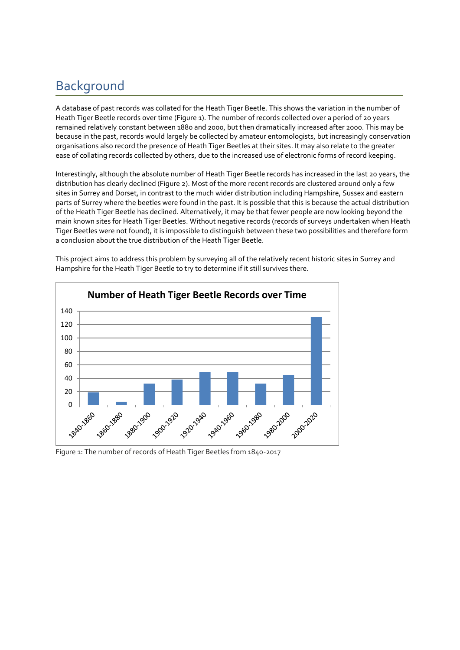### <span id="page-3-0"></span>Background

A database of past records was collated for the Heath Tiger Beetle. This shows the variation in the number of Heath Tiger Beetle records over time (Figure 1). The number of records collected over a period of 20 years remained relatively constant between 1880 and 2000, but then dramatically increased after 2000. This may be because in the past, records would largely be collected by amateur entomologists, but increasingly conservation organisations also record the presence of Heath Tiger Beetles at their sites. It may also relate to the greater ease of collating records collected by others, due to the increased use of electronic forms of record keeping.

Interestingly, although the absolute number of Heath Tiger Beetle records has increased in the last 20 years, the distribution has clearly declined (Figure 2). Most of the more recent records are clustered around only a few sites in Surrey and Dorset, in contrast to the much wider distribution including Hampshire, Sussex and eastern parts of Surrey where the beetles were found in the past. It is possible that this is because the actual distribution of the Heath Tiger Beetle has declined. Alternatively, it may be that fewer people are now looking beyond the main known sites for Heath Tiger Beetles. Without negative records (records of surveys undertaken when Heath Tiger Beetles were not found), it is impossible to distinguish between these two possibilities and therefore form a conclusion about the true distribution of the Heath Tiger Beetle.



This project aims to address this problem by surveying all of the relatively recent historic sites in Surrey and Hampshire for the Heath Tiger Beetle to try to determine if it still survives there.

Figure 1: The number of records of Heath Tiger Beetles from 1840-2017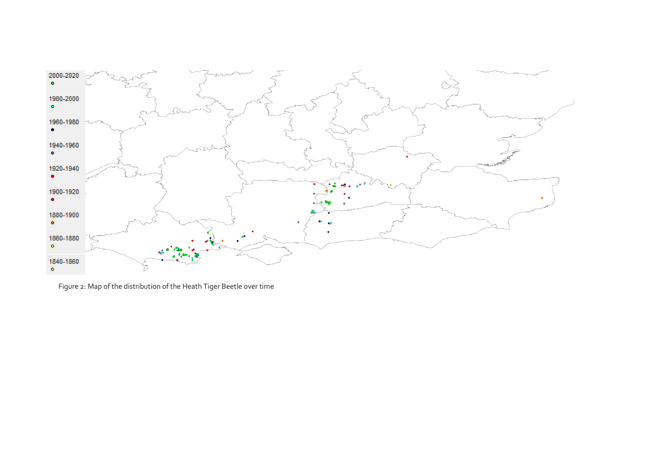

Figure 2: Map of the distribution of the Heath Tiger Beetle over time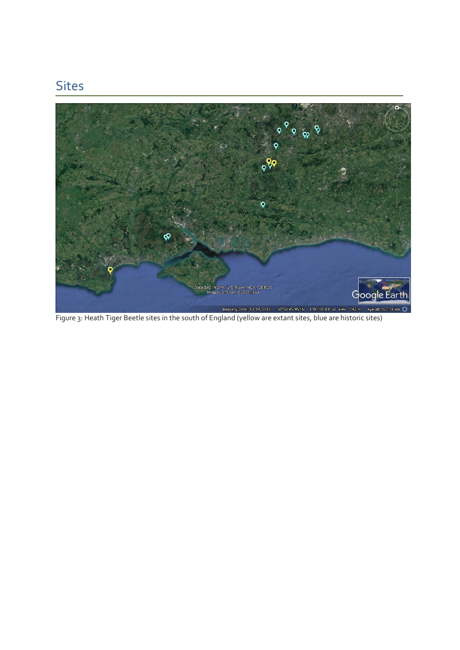### <span id="page-5-0"></span>Sites

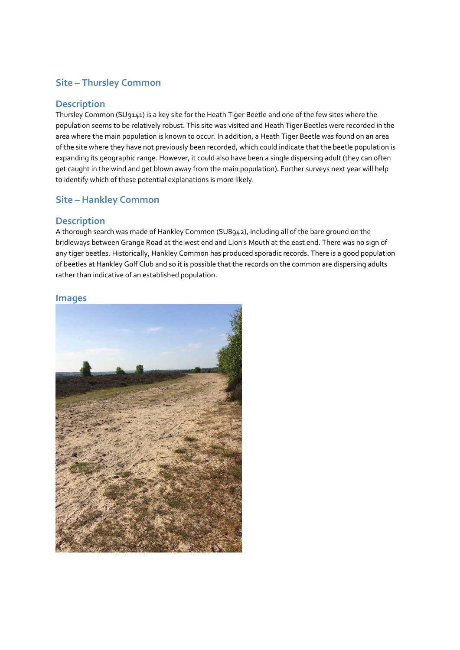#### <span id="page-6-0"></span>**Site – Thursley Common**

#### **Description**

Thursley Common (SU9141) is a key site for the Heath Tiger Beetle and one of the few sites where the population seems to be relatively robust. This site was visited and Heath Tiger Beetles were recorded in the area where the main population is known to occur. In addition, a Heath Tiger Beetle was found on an area of the site where they have not previously been recorded, which could indicate that the beetle population is expanding its geographic range. However, it could also have been a single dispersing adult (they can often get caught in the wind and get blown away from the main population). Further surveys next year will help to identify which of these potential explanations is more likely.

#### <span id="page-6-1"></span>**Site – Hankley Common**

#### **Description**

A thorough search was made of Hankley Common (SU8942), including all of the bare ground on the bridleways between Grange Road at the west end and Lion's Mouth at the east end. There was no sign of any tiger beetles. Historically, Hankley Common has produced sporadic records. There is a good population of beetles at Hankley Golf Club and so it is possible that the records on the common are dispersing adults rather than indicative of an established population.

#### **Images**

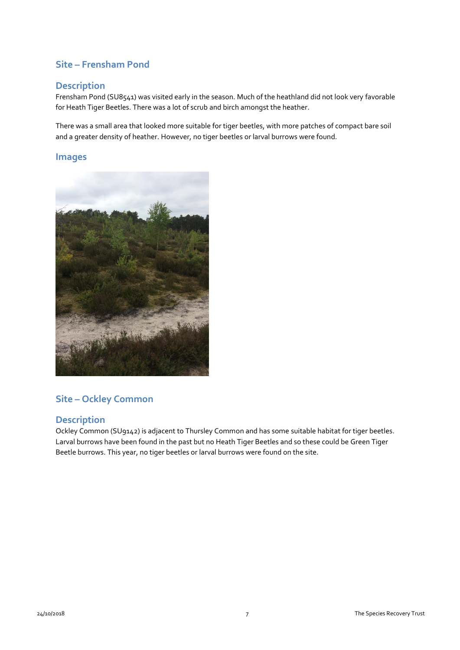#### <span id="page-7-0"></span>**Site – Frensham Pond**

#### **Description**

Frensham Pond (SU8541) was visited early in the season. Much of the heathland did not look very favorable for Heath Tiger Beetles. There was a lot of scrub and birch amongst the heather.

There was a small area that looked more suitable for tiger beetles, with more patches of compact bare soil and a greater density of heather. However, no tiger beetles or larval burrows were found.

#### **Images**



#### <span id="page-7-1"></span>**Site – Ockley Common**

#### **Description**

Ockley Common (SU9142) is adjacent to Thursley Common and has some suitable habitat for tiger beetles. Larval burrows have been found in the past but no Heath Tiger Beetles and so these could be Green Tiger Beetle burrows. This year, no tiger beetles or larval burrows were found on the site.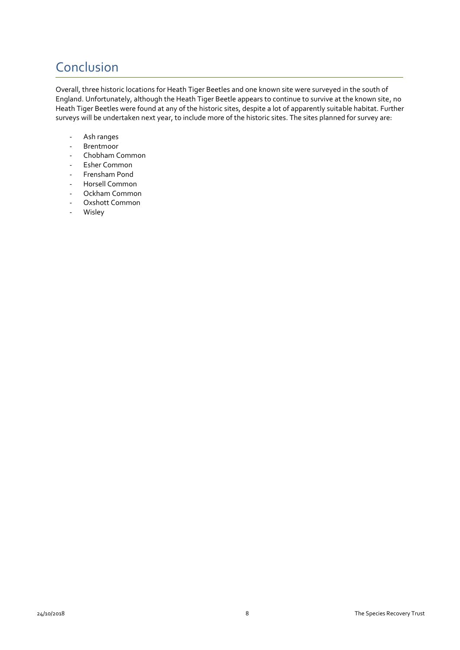### <span id="page-8-0"></span>**Conclusion**

Overall, three historic locations for Heath Tiger Beetles and one known site were surveyed in the south of England. Unfortunately, although the Heath Tiger Beetle appears to continue to survive at the known site, no Heath Tiger Beetles were found at any of the historic sites, despite a lot of apparently suitable habitat. Further surveys will be undertaken next year, to include more of the historic sites. The sites planned for survey are:

- Ash ranges
- Brentmoor
- Chobham Common
- Esher Common
- Frensham Pond
- Horsell Common
- Ockham Common
- Oxshott Common
- **Wisley**